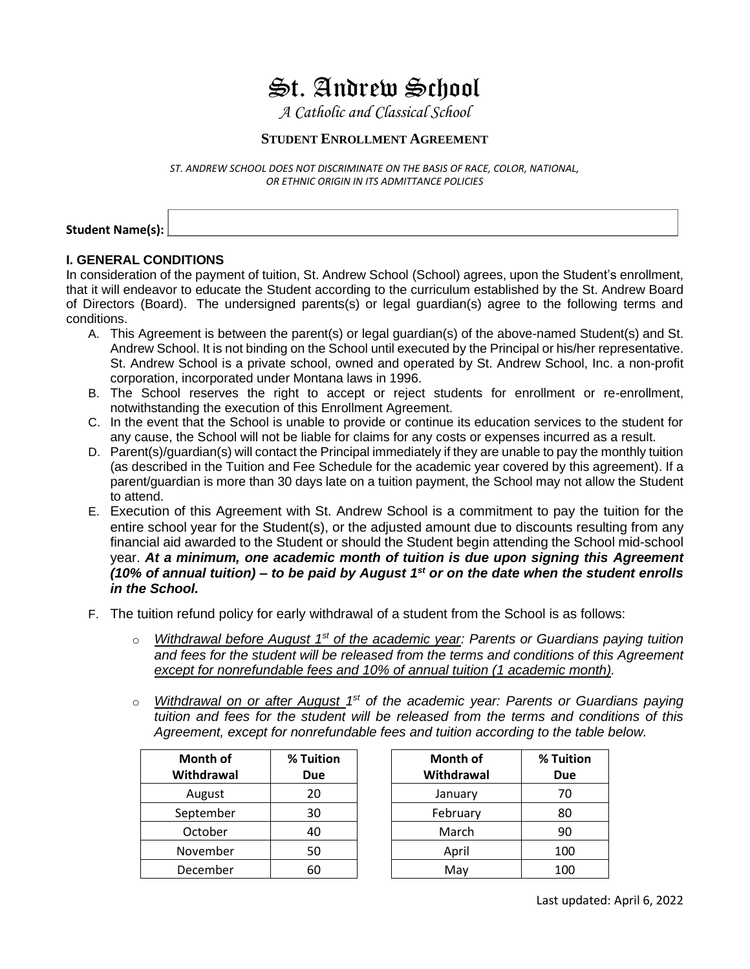## $\mathfrak{S}$ t. Andrew School

*A Catholic and Classical School*

### **STUDENT ENROLLMENT AGREEMENT**

*ST. ANDREW SCHOOL DOES NOT DISCRIMINATE ON THE BASIS OF RACE, COLOR, NATIONAL, OR ETHNIC ORIGIN IN ITS ADMITTANCE POLICIES*

Student Name(s):

#### **I. GENERAL CONDITIONS**

In consideration of the payment of tuition, St. Andrew School (School) agrees, upon the Student's enrollment, that it will endeavor to educate the Student according to the curriculum established by the St. Andrew Board of Directors (Board). The undersigned parents(s) or legal guardian(s) agree to the following terms and conditions.

- A. This Agreement is between the parent(s) or legal guardian(s) of the above-named Student(s) and St. Andrew School. It is not binding on the School until executed by the Principal or his/her representative. St. Andrew School is a private school, owned and operated by St. Andrew School, Inc. a non-profit corporation, incorporated under Montana laws in 1996.
- B. The School reserves the right to accept or reject students for enrollment or re-enrollment, notwithstanding the execution of this Enrollment Agreement.
- C. In the event that the School is unable to provide or continue its education services to the student for any cause, the School will not be liable for claims for any costs or expenses incurred as a result.
- D. Parent(s)/guardian(s) will contact the Principal immediately if they are unable to pay the monthly tuition (as described in the Tuition and Fee Schedule for the academic year covered by this agreement). If a parent/guardian is more than 30 days late on a tuition payment, the School may not allow the Student to attend.
- E. Execution of this Agreement with St. Andrew School is a commitment to pay the tuition for the entire school year for the Student(s), or the adjusted amount due to discounts resulting from any financial aid awarded to the Student or should the Student begin attending the School mid-school year. *At a minimum, one academic month of tuition is due upon signing this Agreement (10% of annual tuition) – to be paid by August 1 st or on the date when the student enrolls in the School.*
- F. The tuition refund policy for early withdrawal of a student from the School is as follows:
	- o Withdrawal before August 1<sup>st</sup> of the academic year: Parents or Guardians paying tuition *and fees for the student will be released from the terms and conditions of this Agreement except for nonrefundable fees and 10% of annual tuition (1 academic month).*
	- o Withdrawal on or after August 1<sup>st</sup> of the academic year: Parents or Guardians paying *tuition and fees for the student will be released from the terms and conditions of this Agreement, except for nonrefundable fees and tuition according to the table below.*

| <b>Month of</b><br>Withdrawal | % Tuition<br>Due |
|-------------------------------|------------------|
| August                        | 20               |
| September                     | 30               |
| October                       | 40               |
| November                      | 50               |
| December                      |                  |

| <b>Month of</b><br>Withdrawal | % Tuition<br><b>Due</b> | <b>Month of</b><br>Withdrawal | % Tuition<br><b>Due</b> |
|-------------------------------|-------------------------|-------------------------------|-------------------------|
|                               |                         |                               |                         |
| August                        | 20                      | January                       | 70                      |
| September                     | 30                      | February                      | 80                      |
| October                       | 40                      | March                         | 90                      |
| November                      | 50                      | April                         | 100                     |
| December                      | 60                      | May                           | 100                     |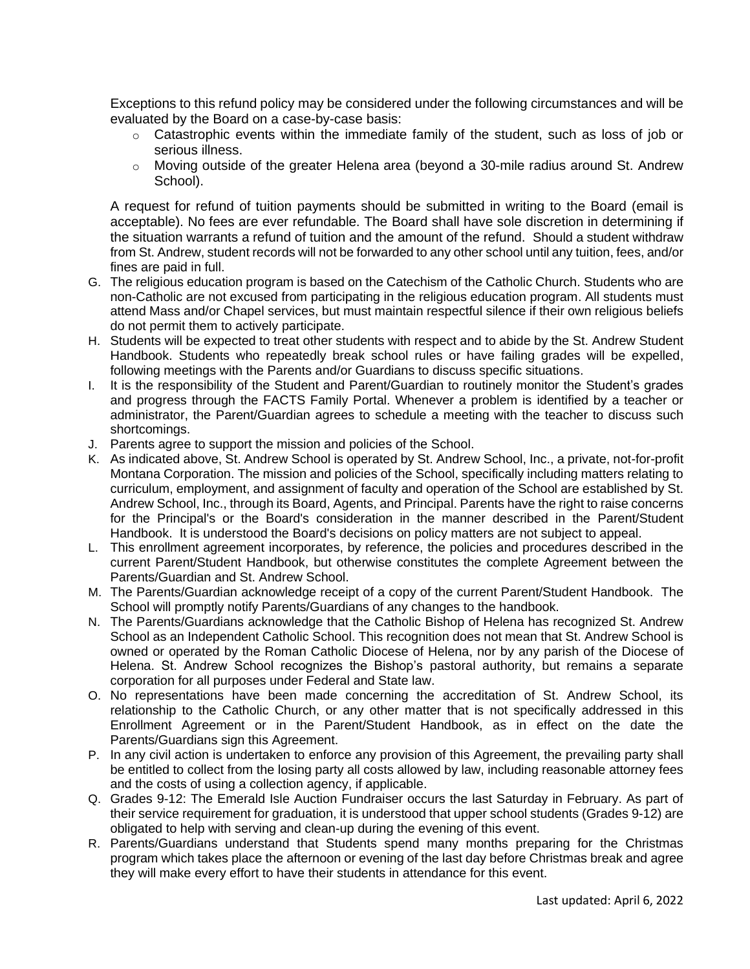Exceptions to this refund policy may be considered under the following circumstances and will be evaluated by the Board on a case-by-case basis:

- o Catastrophic events within the immediate family of the student, such as loss of job or serious illness.
- o Moving outside of the greater Helena area (beyond a 30-mile radius around St. Andrew School).

A request for refund of tuition payments should be submitted in writing to the Board (email is acceptable). No fees are ever refundable. The Board shall have sole discretion in determining if the situation warrants a refund of tuition and the amount of the refund. Should a student withdraw from St. Andrew, student records will not be forwarded to any other school until any tuition, fees, and/or fines are paid in full.

- G. The religious education program is based on the Catechism of the Catholic Church. Students who are non-Catholic are not excused from participating in the religious education program. All students must attend Mass and/or Chapel services, but must maintain respectful silence if their own religious beliefs do not permit them to actively participate.
- H. Students will be expected to treat other students with respect and to abide by the St. Andrew Student Handbook. Students who repeatedly break school rules or have failing grades will be expelled, following meetings with the Parents and/or Guardians to discuss specific situations.
- I. It is the responsibility of the Student and Parent/Guardian to routinely monitor the Student's grades and progress through the FACTS Family Portal. Whenever a problem is identified by a teacher or administrator, the Parent/Guardian agrees to schedule a meeting with the teacher to discuss such shortcomings.
- J. Parents agree to support the mission and policies of the School.
- K. As indicated above, St. Andrew School is operated by St. Andrew School, Inc., a private, not-for-profit Montana Corporation. The mission and policies of the School, specifically including matters relating to curriculum, employment, and assignment of faculty and operation of the School are established by St. Andrew School, Inc., through its Board, Agents, and Principal. Parents have the right to raise concerns for the Principal's or the Board's consideration in the manner described in the Parent/Student Handbook. It is understood the Board's decisions on policy matters are not subject to appeal.
- L. This enrollment agreement incorporates, by reference, the policies and procedures described in the current Parent/Student Handbook, but otherwise constitutes the complete Agreement between the Parents/Guardian and St. Andrew School.
- M. The Parents/Guardian acknowledge receipt of a copy of the current Parent/Student Handbook. The School will promptly notify Parents/Guardians of any changes to the handbook.
- N. The Parents/Guardians acknowledge that the Catholic Bishop of Helena has recognized St. Andrew School as an Independent Catholic School. This recognition does not mean that St. Andrew School is owned or operated by the Roman Catholic Diocese of Helena, nor by any parish of the Diocese of Helena. St. Andrew School recognizes the Bishop's pastoral authority, but remains a separate corporation for all purposes under Federal and State law.
- O. No representations have been made concerning the accreditation of St. Andrew School, its relationship to the Catholic Church, or any other matter that is not specifically addressed in this Enrollment Agreement or in the Parent/Student Handbook, as in effect on the date the Parents/Guardians sign this Agreement.
- P. In any civil action is undertaken to enforce any provision of this Agreement, the prevailing party shall be entitled to collect from the losing party all costs allowed by law, including reasonable attorney fees and the costs of using a collection agency, if applicable.
- Q. Grades 9-12: The Emerald Isle Auction Fundraiser occurs the last Saturday in February. As part of their service requirement for graduation, it is understood that upper school students (Grades 9-12) are obligated to help with serving and clean-up during the evening of this event.
- R. Parents/Guardians understand that Students spend many months preparing for the Christmas program which takes place the afternoon or evening of the last day before Christmas break and agree they will make every effort to have their students in attendance for this event.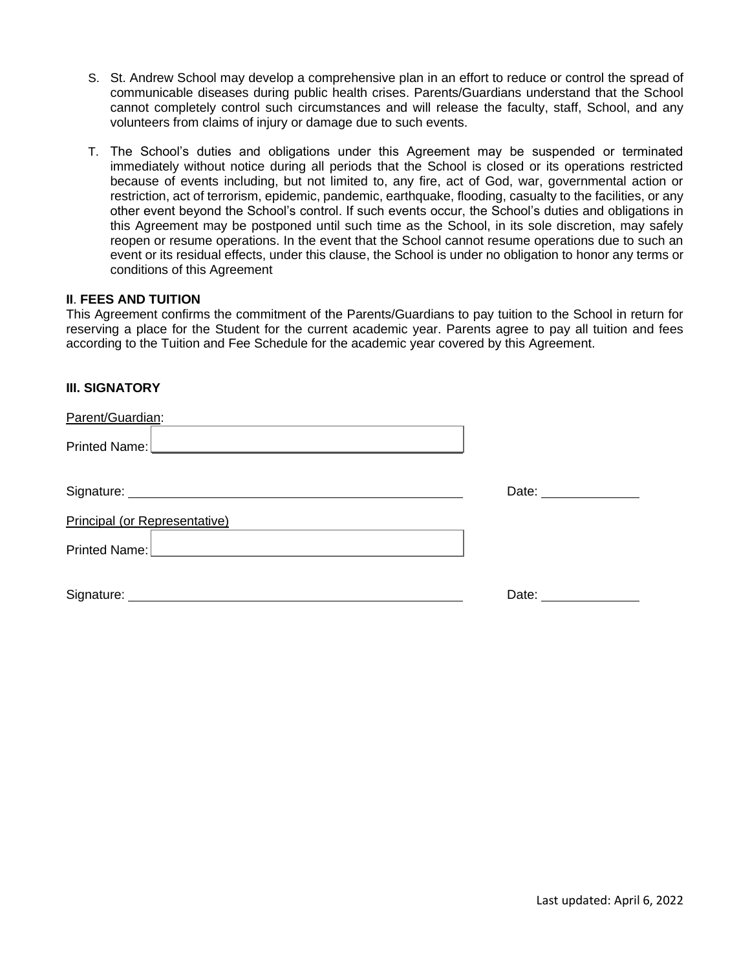- S. St. Andrew School may develop a comprehensive plan in an effort to reduce or control the spread of communicable diseases during public health crises. Parents/Guardians understand that the School cannot completely control such circumstances and will release the faculty, staff, School, and any volunteers from claims of injury or damage due to such events.
- T. The School's duties and obligations under this Agreement may be suspended or terminated immediately without notice during all periods that the School is closed or its operations restricted because of events including, but not limited to, any fire, act of God, war, governmental action or restriction, act of terrorism, epidemic, pandemic, earthquake, flooding, casualty to the facilities, or any other event beyond the School's control. If such events occur, the School's duties and obligations in this Agreement may be postponed until such time as the School, in its sole discretion, may safely reopen or resume operations. In the event that the School cannot resume operations due to such an event or its residual effects, under this clause, the School is under no obligation to honor any terms or conditions of this Agreement

#### **II**. **FEES AND TUITION**

This Agreement confirms the commitment of the Parents/Guardians to pay tuition to the School in return for reserving a place for the Student for the current academic year. Parents agree to pay all tuition and fees according to the Tuition and Fee Schedule for the academic year covered by this Agreement.

#### **III. SIGNATORY**

| Parent/Guardian:                                                                                                                                                                                                                     |                                                                                                                                                                                                                               |
|--------------------------------------------------------------------------------------------------------------------------------------------------------------------------------------------------------------------------------------|-------------------------------------------------------------------------------------------------------------------------------------------------------------------------------------------------------------------------------|
| Printed Name: <u>  www.governormal.com   www.governormal.com   www.governormal.com   www.governormal.com   www.governormal.com   www.governormal.com   www.governormal.com   www.governormal.com   www.governormal.com   www.gov</u> |                                                                                                                                                                                                                               |
|                                                                                                                                                                                                                                      | Date: _______________                                                                                                                                                                                                         |
| <b>Principal (or Representative)</b>                                                                                                                                                                                                 |                                                                                                                                                                                                                               |
| Printed Name:                                                                                                                                                                                                                        |                                                                                                                                                                                                                               |
|                                                                                                                                                                                                                                      | Date: and the state of the state of the state of the state of the state of the state of the state of the state of the state of the state of the state of the state of the state of the state of the state of the state of the |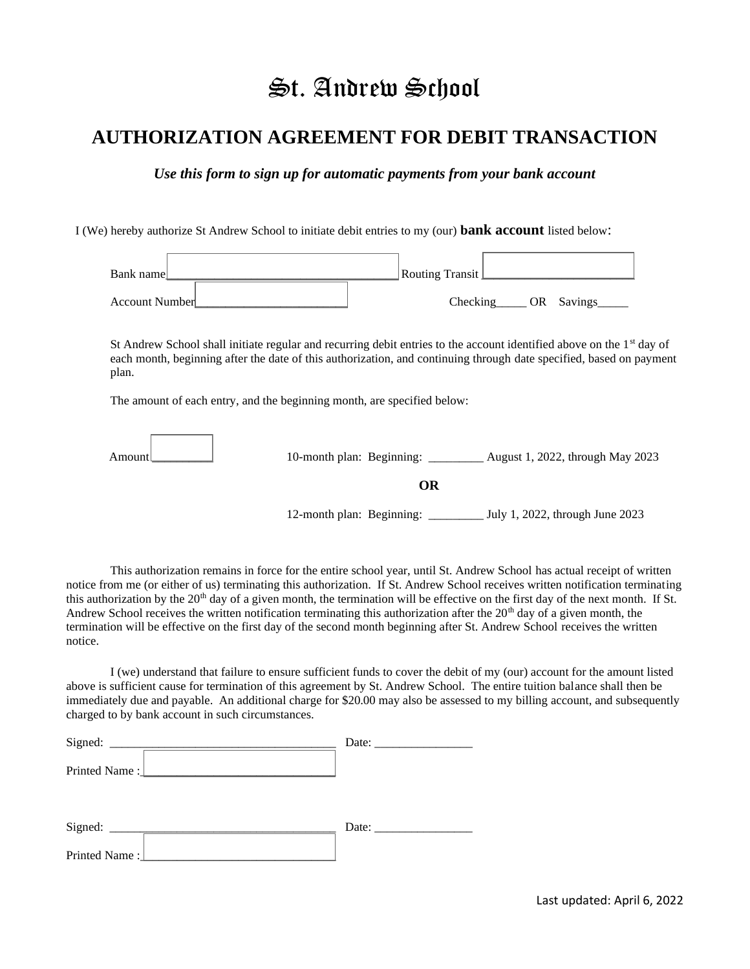# St. Andrew School

### **AUTHORIZATION AGREEMENT FOR DEBIT TRANSACTION**

*Use this form to sign up for automatic payments from your bank account*

I (We) hereby authorize St Andrew School to initiate debit entries to my (our) **bank account** listed below:



St Andrew School shall initiate regular and recurring debit entries to the account identified above on the  $1<sup>st</sup>$  day of each month, beginning after the date of this authorization, and continuing through date specified, based on payment plan.

The amount of each entry, and the beginning month, are specified below:

| Amount | August 1, 2022, through May 2023<br>10-month plan: Beginning: $\Box$              |
|--------|-----------------------------------------------------------------------------------|
|        | OR                                                                                |
|        | 12-month plan: Beginning: $\frac{ }{ }$<br>$\Box$ July 1, 2022, through June 2023 |

This authorization remains in force for the entire school year, until St. Andrew School has actual receipt of written notice from me (or either of us) terminating this authorization. If St. Andrew School receives written notification terminating this authorization by the 20<sup>th</sup> day of a given month, the termination will be effective on the first day of the next month. If St. Andrew School receives the written notification terminating this authorization after the  $20<sup>th</sup>$  day of a given month, the termination will be effective on the first day of the second month beginning after St. Andrew School receives the written notice.

I (we) understand that failure to ensure sufficient funds to cover the debit of my (our) account for the amount listed above is sufficient cause for termination of this agreement by St. Andrew School. The entire tuition balance shall then be immediately due and payable. An additional charge for \$20.00 may also be assessed to my billing account, and subsequently charged to by bank account in such circumstances.

| Signed:                                                                           | Date:                                                                                                                                                                                                                          |
|-----------------------------------------------------------------------------------|--------------------------------------------------------------------------------------------------------------------------------------------------------------------------------------------------------------------------------|
| Printed Name:<br><u> 1980 - Jan James James Barnett, fransk politik (d. 1980)</u> |                                                                                                                                                                                                                                |
| Signed:                                                                           | Date: the contract of the contract of the contract of the contract of the contract of the contract of the contract of the contract of the contract of the contract of the contract of the contract of the contract of the cont |
| Printed Name:                                                                     |                                                                                                                                                                                                                                |